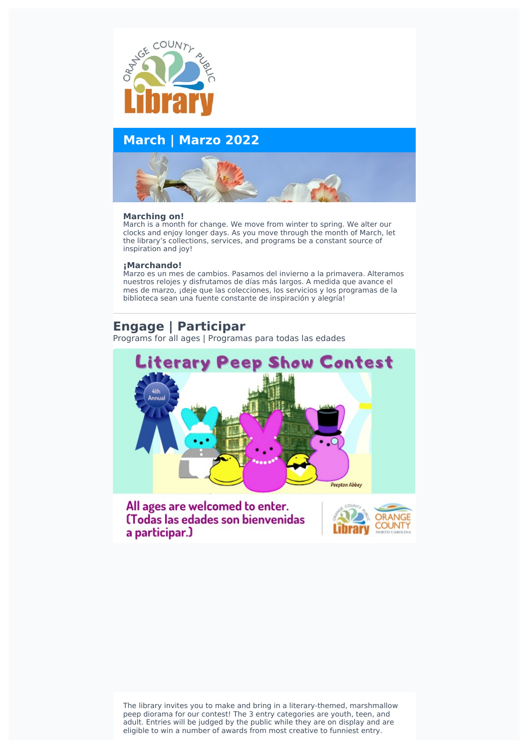

# **March | Marzo 2022**



## **Marching on!**

March is a month for change. We move from winter to spring. We alter our clocks and enjoy longer days. As you move through the month of March, let the library's collections, services, and programs be a constant source of inspiration and joy!

## **¡Marchando!**

Marzo es un mes de cambios. Pasamos del invierno a la primavera. Alteramos nuestros relojes y disfrutamos de días más largos. A medida que avance el mes de marzo, ¡deje que las colecciones, los servicios y los programas de la biblioteca sean una fuente constante de inspiración y alegría!

# **Engage | Participar**

Programs for all ages | Programas para todas las edades



All ages are welcomed to enter. (Todas las edades son bienvenidas a participar.)



The library invites you to make and bring in a literary-themed, marshmallow peep diorama for our contest! The 3 entry categories are youth, teen, and adult. Entries will be judged by the public while they are on display and are eligible to win a number of awards from most creative to funniest entry.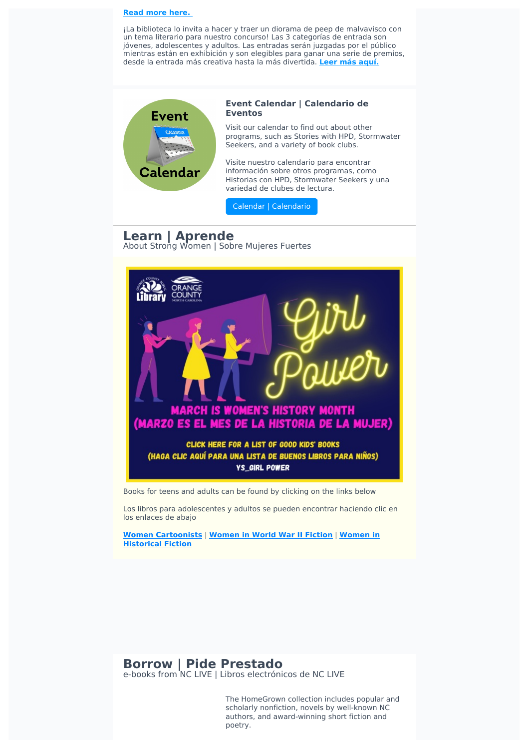#### **Read more [here.](https://orangecountync.librarycalendar.com/event/literary-peep-show-contest)**

¡La biblioteca lo invita a hacer y traer un diorama de peep de malvavisco con un tema literario para nuestro concurso! Las 3 categorías de entrada son jóvenes, adolescentes y adultos. Las entradas serán juzgadas por el público mientras están en exhibición y son elegibles para ganar una serie de premios, desde la entrada más creativa hasta la más divertida. **Leer más [aquí.](https://orangecountync.librarycalendar.com/event/literary-peep-show-contest)**



#### **Event Calendar | Calendario de Eventos**

Visit our calendar to find out about other programs, such as Stories with HPD, Stormwater Seekers, and a variety of book clubs.

Visite nuestro calendario para encontrar información sobre otros programas, como Historias con HPD, Stormwater Seekers y una variedad de clubes de lectura.

Calendar | [Calendario](https://orangecountync.librarycalendar.com/events/month/2022/03)

# **Learn | Aprende**

About Strong Women | Sobre Mujeres Fuertes



Books for teens and adults can be found by clicking on the links below

Los libros para adolescentes y adultos se pueden encontrar haciendo clic en los enlaces de abajo

**Women [Cartoonist](https://library.orangecountync.gov/iii/encore/search/C__Sats_womencartoonists__Orightresult__U?lang=eng&suite=cobalt)[s](https://library.orangecountync.gov/iii/encore/search/C__Sats_womeninhistoricalfiction__Orightresult__U?lang=eng&suite=cobalt)** | **[Women](https://library.orangecountync.gov/iii/encore/search/C__Sats_womeninwwIIfiction__Orightresult__U?lang=eng&suite=cobalt) in World War II Fiction** | **Women in Historical Fiction**

## **Borrow | Pide Prestado** e-books from NC LIVE | Libros electrónicos de NC LIVE

The HomeGrown collection includes popular and scholarly nonfiction, novels by well-known NC authors, and award-winning short fiction and poetry.